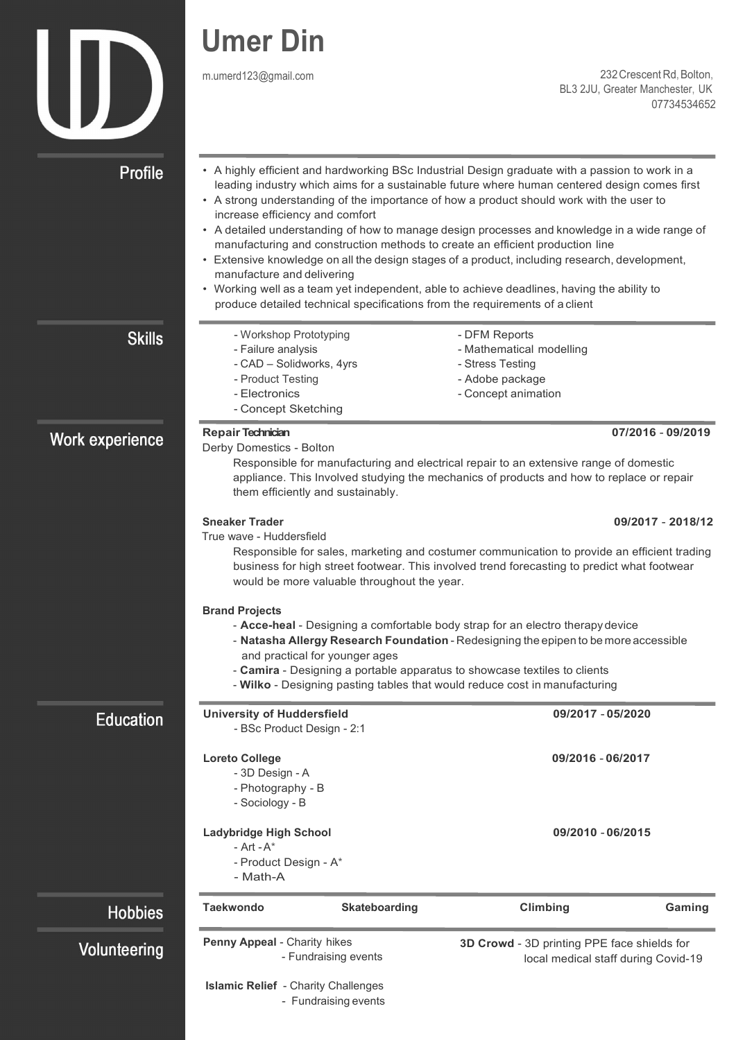

## **Umer Din**

[m.umerd123@gmail.com](mailto:m.umerd123@gmail.com) 232Crescent Rd, Bolton, BL3 2JU, Greater Manchester, UK 07734534652

• A highly efficient and hardworking BSc Industrial Design graduate with a passion to work in a **Profile** leading industry which aims for a sustainable future where human centered design comes first • A strong understanding of the importance of how a product should work with the user to increase efficiency and comfort • A detailed understanding of how to manage design processes and knowledge in a wide range of manufacturing and construction methods to create an efficient production line • Extensive knowledge on all the design stages of a product, including research, development, manufacture and delivering • Working well as a team yet independent, able to achieve deadlines, having the ability to produce detailed technical specifications from the requirements of a client - Workshop Prototyping - DFM Reports **Skills** - Failure analysis - Mathematical modelling - CAD – Solidworks, 4yrs - Stress Testing - Product Testing - Adobe package - Electronics - Concept animation - Concept Sketching **RepairTechnician 07/2016** - **09/2019 Work experience** Derby Domestics - Bolton Responsible for manufacturing and electrical repair to an extensive range of domestic appliance. This Involved studying the mechanics of products and how to replace or repair them efficiently and sustainably. **Sneaker Trader 09/2017** - **2018/12** True wave - Huddersfield Responsible for sales, marketing and costumer communication to provide an efficient trading business for high street footwear. This involved trend forecasting to predict what footwear would be more valuable throughout the year. **Brand Projects** - **Acce-heal** - Designing a comfortable body strap for an electro therapydevice - **Natasha Allergy Research Foundation** - Redesigning the epipen to be more accessible and practical for younger ages - **Camira** - Designing a portable apparatus to showcase textiles to clients - **Wilko** - Designing pasting tables that would reduce cost in manufacturing **09/2017** - **05/2020 University of Huddersfield Education** - BSc Product Design - 2:1 **Loreto College 09/2016** - **06/2017** - 3D Design - A - Photography - B - Sociology - B **09/2010** - **06/2015 Ladybridge High School**  $- Art - A<sup>*</sup>$ - Product Design - A\* - Math-A **Taekwondo Skateboarding Climbing Gaming Hobbies Penny Appeal - Charity hikes 3D Crowd** - 3D printing PPE face shields for Volunteering - Fundraising events local medical staff during Covid-19 **Islamic Relief** - Charity Challenges - Fundraising events